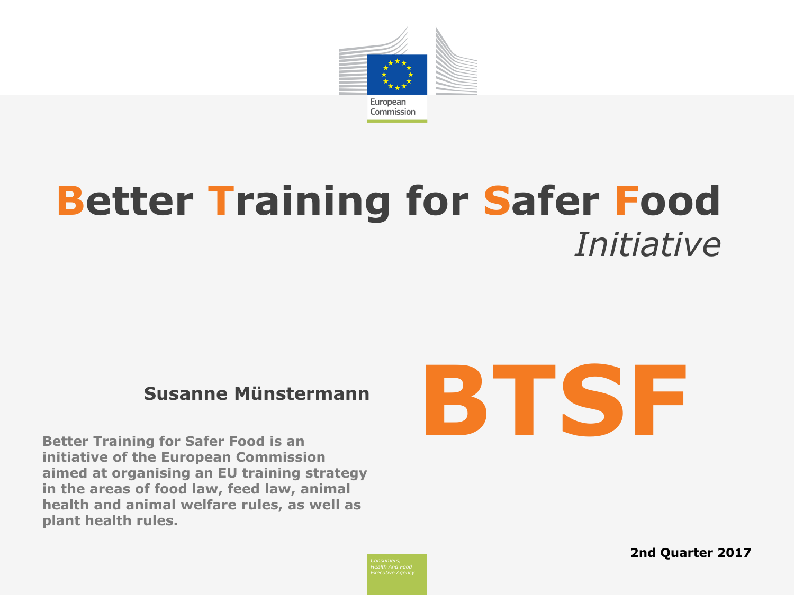

# **Better Training for Safer Food** *Initiative*

#### **Susanne Münstermann**

**Better Training for Safer Food is an initiative of the European Commission aimed at organising an EU training strategy in the areas of food law, feed law, animal health and animal welfare rules, as well as plant health rules.**



**2nd Quarter 2017**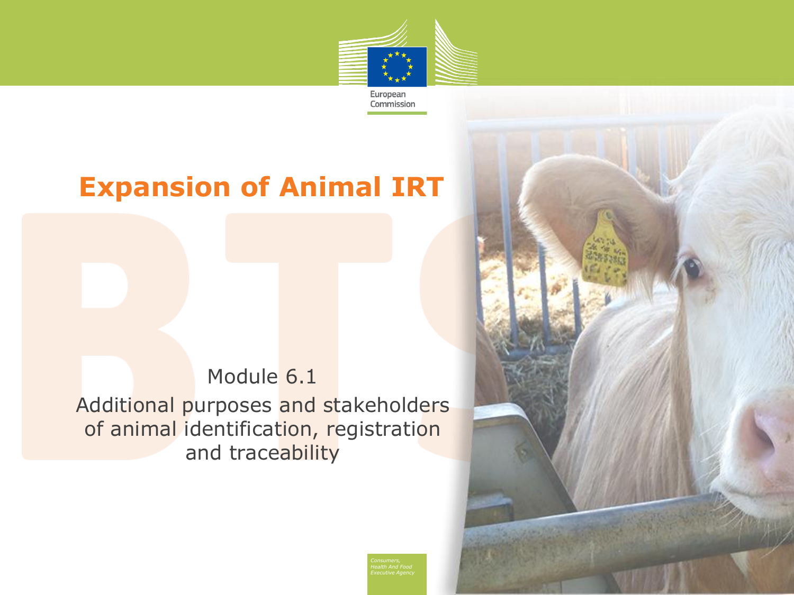

Commission

## **Expansion of Animal IRT**

#### Module 6.1 Additional purposes and stakeholders of animal identification, registration and traceability

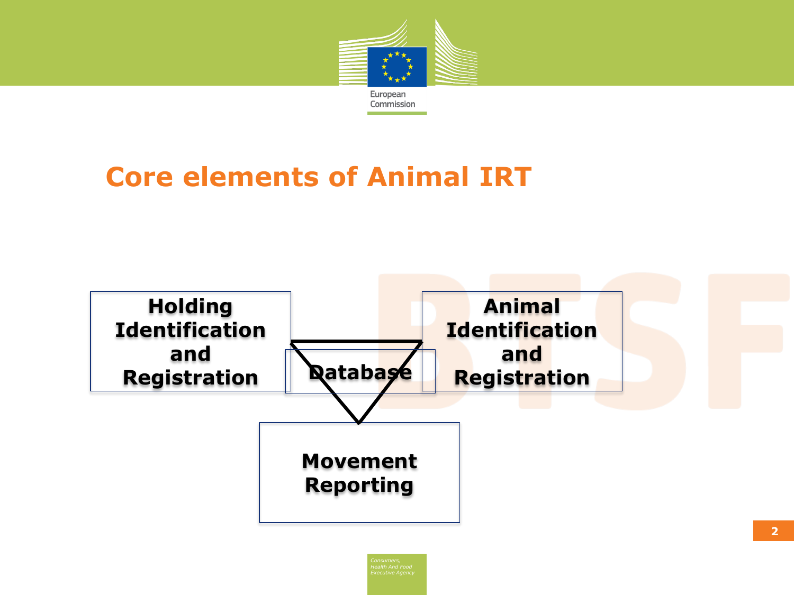

# **Core elements of Animal IRT**

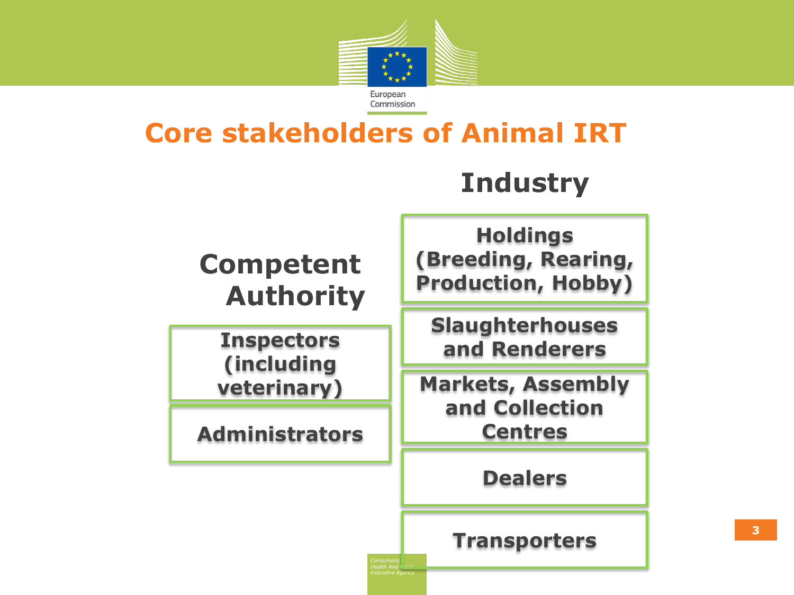

## **Core stakeholders of Animal IRT**

*Health And Food Executive Agency*

# **Industry**

**Competent Authority** 

**Inspectors (including veterinary)**

**Administrators**

**Holdings (Breeding, Rearing, Production, Hobby)** 

**Slaughterhouses and Renderers**

**Markets, Assembly and Collection Centres**

**Dealers**

**Transporters**

**3**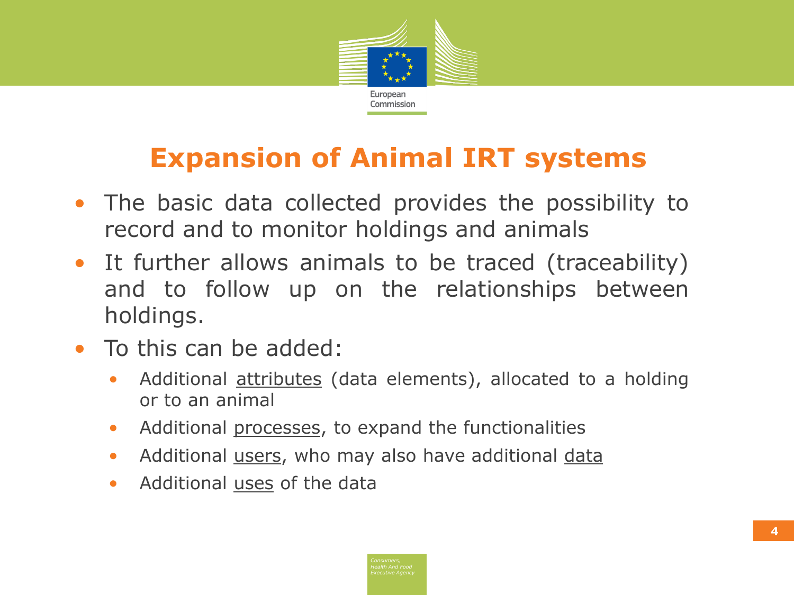

# **Expansion of Animal IRT systems**

- The basic data collected provides the possibility to record and to monitor holdings and animals
- It further allows animals to be traced (traceability) and to follow up on the relationships between holdings.
- To this can be added:
	- Additional **attributes** (data elements), allocated to a holding or to an animal
	- Additional processes, to expand the functionalities
	- Additional users, who may also have additional data
	- Additional uses of the data

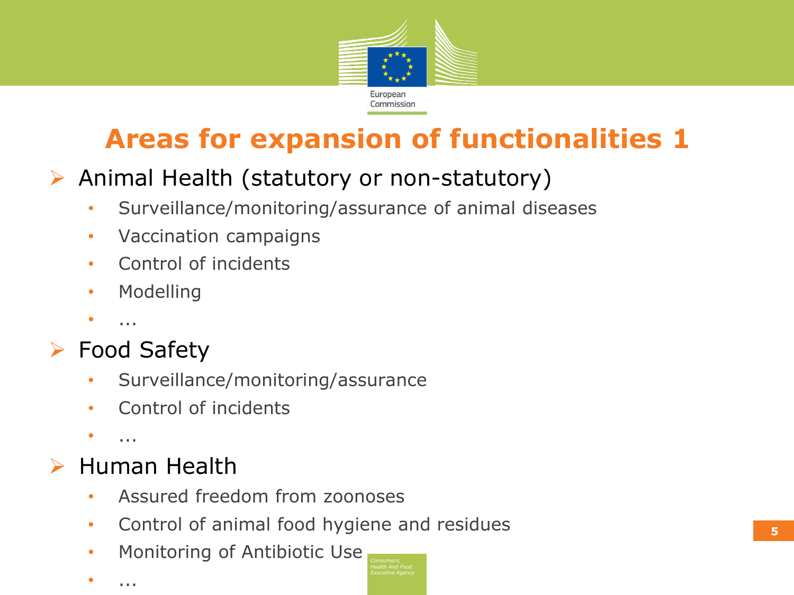

# **Areas for expansion of functionalities 1**

## $\triangleright$  Animal Health (statutory or non-statutory)

- Surveillance/monitoring/assurance of animal diseases
- Vaccination campaigns
- Control of incidents
- Modelling
- ...

## ▶ Food Safety

- Surveillance/monitoring/assurance
- Control of incidents
- $\bullet$  ...

### Human Health

- Assured freedom from zoonoses
- Control of animal food hygiene and residues
- Monitoring of Antibiotic Use
- ...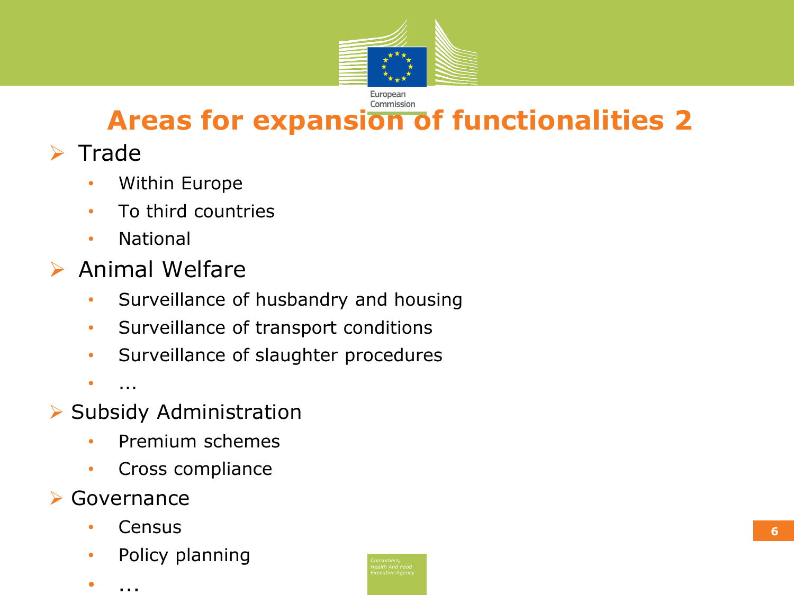

#### Commission **Areas for expansion of functionalities 2**

## $\triangleright$  Trade

- Within Europe
- To third countries
- National
- $\triangleright$  Animal Welfare
	- Surveillance of husbandry and housing
	- Surveillance of transport conditions
	- Surveillance of slaughter procedures

 $\bullet$  ...

- $\triangleright$  Subsidy Administration
	- Premium schemes
	- Cross compliance

#### **► Governance**

- Census
- Policy planning
- ...

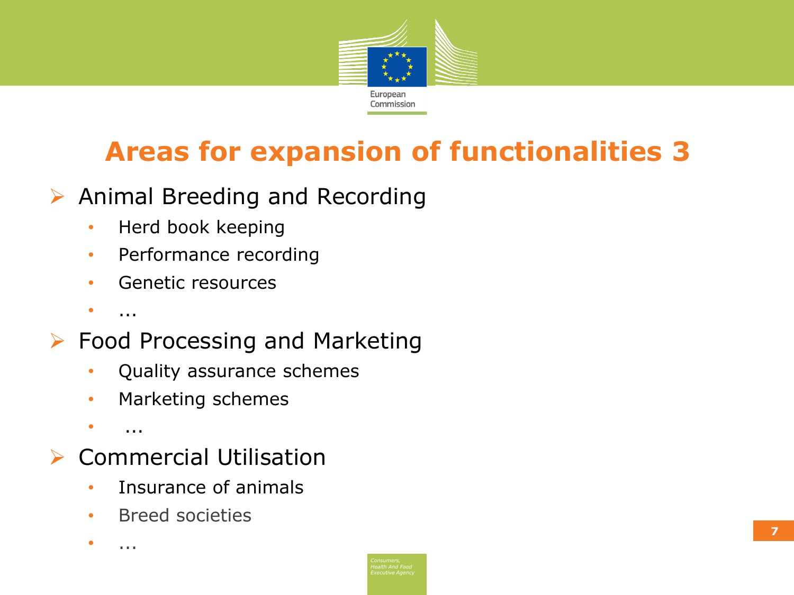

# **Areas for expansion of functionalities 3**

- $\triangleright$  Animal Breeding and Recording
	- Herd book keeping
	- Performance recording
	- Genetic resources
	- $\bullet$  ...
- ▶ Food Processing and Marketing
	- Quality assurance schemes
	- Marketing schemes
	- $\bullet$  ....
- Commercial Utilisation
	- Insurance of animals
	- Breed societies

 $\bullet$  ...

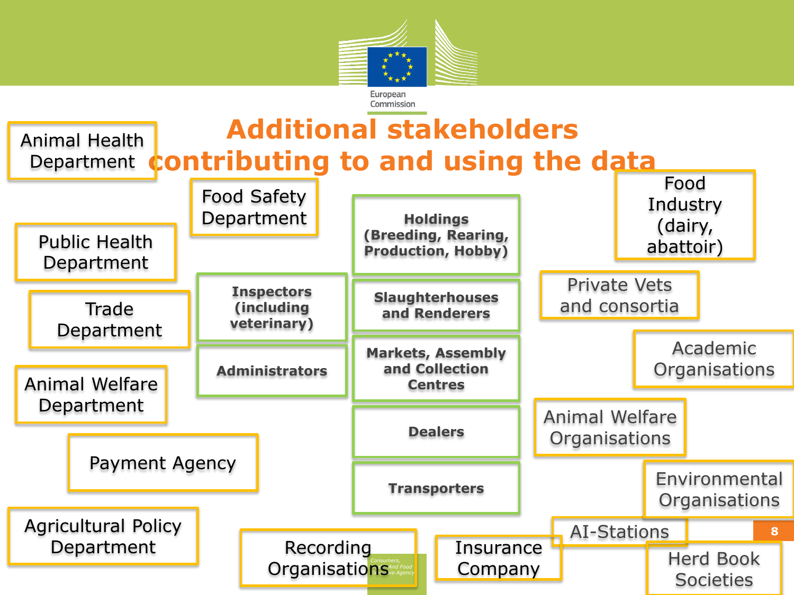

#### **Additional stakeholders contributing to and using the data** Animal Health Department

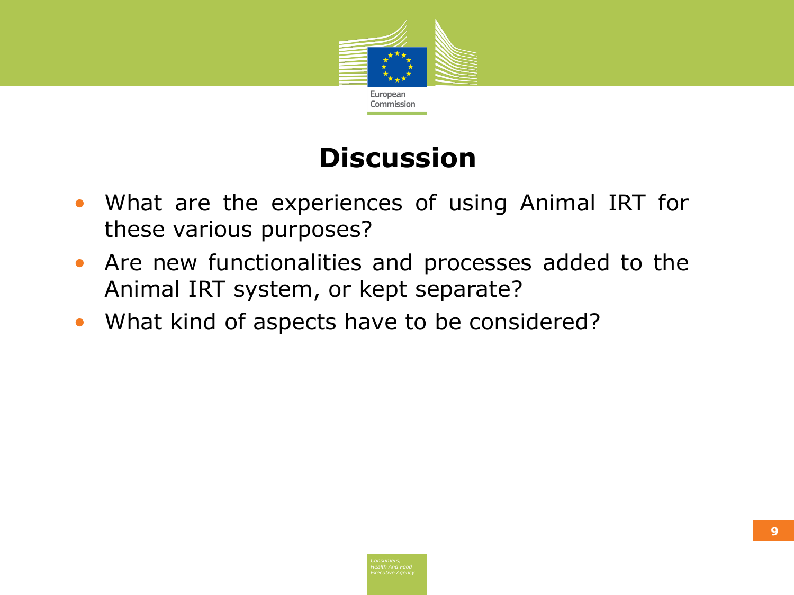

# **Discussion**

- What are the experiences of using Animal IRT for these various purposes?
- Are new functionalities and processes added to the Animal IRT system, or kept separate?
- What kind of aspects have to be considered?

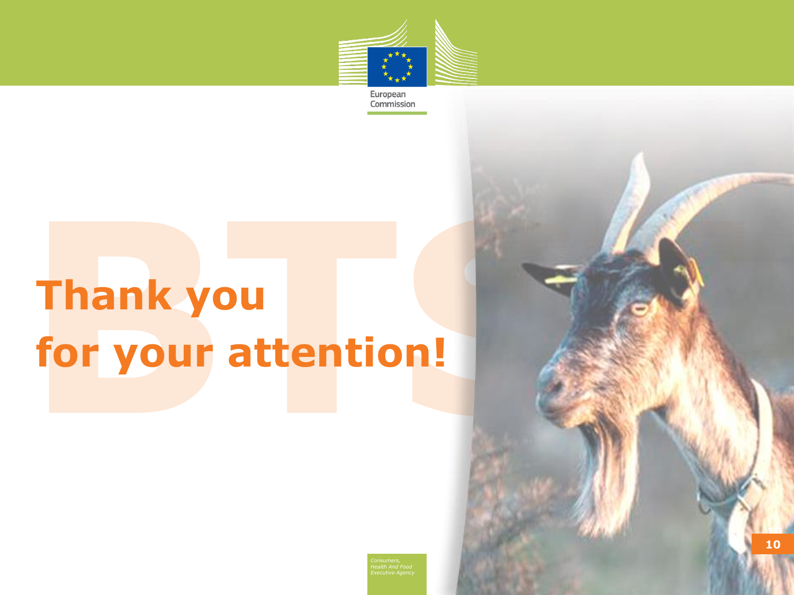

European Commission

# **Thank you for your attention!**